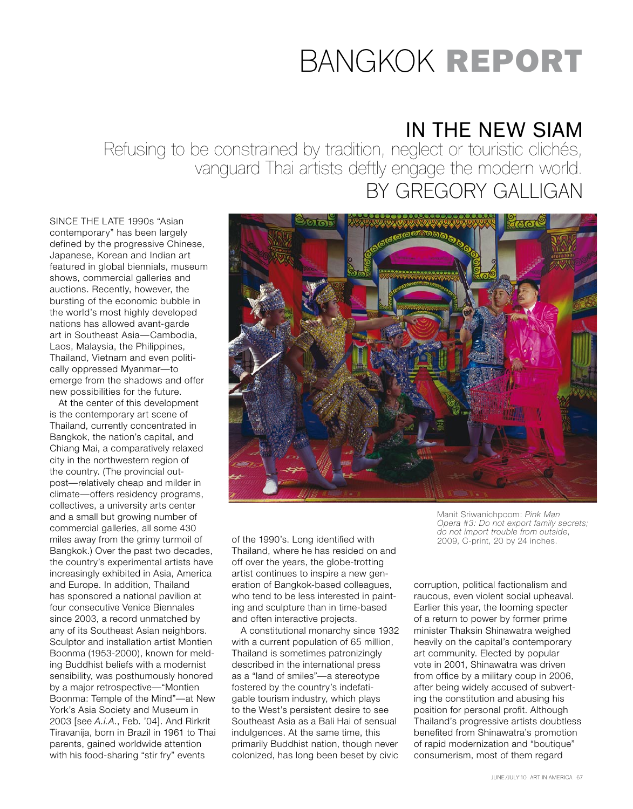## bangkok Report

## IN THE NEW SIAM

Refusing to be constrained by tradition, neglect or touristic clichés, vanguard Thai artists deftly engage the modern world. BY GREGORY GALLIGAN

SINCE THE LATE 1990s "Asian contemporary" has been largely defined by the progressive Chinese, Japanese, Korean and Indian art featured in global biennials, museum shows, commercial galleries and auctions. Recently, however, the bursting of the economic bubble in the world's most highly developed nations has allowed avant-garde art in Southeast Asia—Cambodia, Laos, Malaysia, the Philippines, Thailand, Vietnam and even politically oppressed Myanmar—to emerge from the shadows and offer new possibilities for the future.

At the center of this development is the contemporary art scene of Thailand, currently concentrated in Bangkok, the nation's capital, and Chiang Mai, a comparatively relaxed city in the northwestern region of the country. (The provincial outpost—relatively cheap and milder in climate—offers residency programs, collectives, a university arts center and a small but growing number of commercial galleries, all some 430 miles away from the grimy turmoil of Bangkok.) Over the past two decades, the country's experimental artists have increasingly exhibited in Asia, America and Europe. In addition, Thailand has sponsored a national pavilion at four consecutive Venice Biennales since 2003, a record unmatched by any of its Southeast Asian neighbors. Sculptor and installation artist Montien Boonma (1953-2000), known for melding Buddhist beliefs with a modernist sensibility, was posthumously honored by a major retrospective—"Montien Boonma: Temple of the Mind"—at New York's Asia Society and Museum in 2003 [see *A.i.A.*, Feb. '04]. And Rirkrit Tiravanija, born in Brazil in 1961 to Thai parents, gained worldwide attention with his food-sharing "stir fry" events



of the 1990's. Long identified with Thailand, where he has resided on and off over the years, the globe-trotting artist continues to inspire a new generation of Bangkok-based colleagues, who tend to be less interested in painting and sculpture than in time-based and often interactive projects.

A constitutional monarchy since 1932 with a current population of 65 million, Thailand is sometimes patronizingly described in the international press as a "land of smiles"—a stereotype fostered by the country's indefatigable tourism industry, which plays to the West's persistent desire to see Southeast Asia as a Bali Hai of sensual indulgences. At the same time, this primarily Buddhist nation, though never colonized, has long been beset by civic

Manit Sriwanichpoom: *Pink Man Opera #3: Do not export family secrets; do not import trouble from outside*, 2009, C-print, 20 by 24 inches.

corruption, political factionalism and raucous, even violent social upheaval. Earlier this year, the looming specter of a return to power by former prime minister Thaksin Shinawatra weighed heavily on the capital's contemporary art community. Elected by popular vote in 2001, Shinawatra was driven from office by a military coup in 2006, after being widely accused of subverting the constitution and abusing his position for personal profit. Although Thailand's progressive artists doubtless benefited from Shinawatra's promotion of rapid modernization and "boutique" consumerism, most of them regard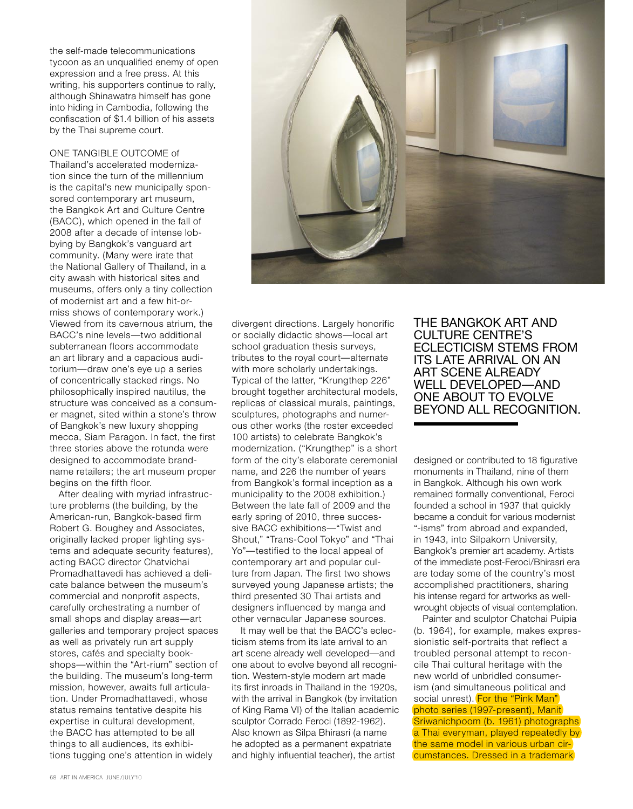the self-made telecommunications tycoon as an unqualified enemy of open expression and a free press. At this writing, his supporters continue to rally, although Shinawatra himself has gone into hiding in Cambodia, following the confiscation of \$1.4 billion of his assets by the Thai supreme court.

One tangible outcome of Thailand's accelerated modernization since the turn of the millennium is the capital's new municipally sponsored contemporary art museum, the Bangkok Art and Culture Centre (BACC), which opened in the fall of 2008 after a decade of intense lobbying by Bangkok's vanguard art community. (Many were irate that the National Gallery of Thailand, in a city awash with historical sites and museums, offers only a tiny collection of modernist art and a few hit-ormiss shows of contemporary work.) Viewed from its cavernous atrium, the BACC's nine levels—two additional subterranean floors accommodate an art library and a capacious auditorium—draw one's eye up a series of concentrically stacked rings. No philosophically inspired nautilus, the structure was conceived as a consumer magnet, sited within a stone's throw of Bangkok's new luxury shopping mecca, Siam Paragon. In fact, the first three stories above the rotunda were designed to accommodate brandname retailers; the art museum proper begins on the fifth floor.

After dealing with myriad infrastructure problems (the building, by the American-run, Bangkok-based firm Robert G. Boughey and Associates, originally lacked proper lighting systems and adequate security features), acting BACC director Chatvichai Promadhattavedi has achieved a delicate balance between the museum's commercial and nonprofit aspects, carefully orchestrating a number of small shops and display areas—art galleries and temporary project spaces as well as privately run art supply stores, cafés and specialty bookshops—within the "Art-rium" section of the building. The museum's long-term mission, however, awaits full articulation. Under Promadhattavedi, whose status remains tentative despite his expertise in cultural development, the BACC has attempted to be all things to all audiences, its exhibitions tugging one's attention in widely



divergent directions. Largely honorific or socially didactic shows—local art school graduation thesis surveys, tributes to the royal court—alternate with more scholarly undertakings. Typical of the latter, "Krungthep 226" brought together architectural models, replicas of classical murals, paintings, sculptures, photographs and numerous other works (the roster exceeded 100 artists) to celebrate Bangkok's modernization. ("Krungthep" is a short form of the city's elaborate ceremonial name, and 226 the number of years from Bangkok's formal inception as a municipality to the 2008 exhibition.) Between the late fall of 2009 and the early spring of 2010, three successive BACC exhibitions—"Twist and Shout," "Trans-Cool Tokyo" and "Thai Yo"—testified to the local appeal of contemporary art and popular culture from Japan. The first two shows surveyed young Japanese artists; the third presented 30 Thai artists and designers influenced by manga and other vernacular Japanese sources.

It may well be that the BACC's eclecticism stems from its late arrival to an art scene already well developed—and one about to evolve beyond all recognition. Western-style modern art made its first inroads in Thailand in the 1920s, with the arrival in Bangkok (by invitation of King Rama VI) of the Italian academic sculptor Corrado Feroci (1892-1962). Also known as Silpa Bhirasri (a name he adopted as a permanent expatriate and highly influential teacher), the artist

The Bangkok Art and Culture Centre's eclecticism stems from its late arrival on an art scene already WELL DEVELOPED—AND one about to evolve beyond all recognition.

designed or contributed to 18 figurative monuments in Thailand, nine of them in Bangkok. Although his own work remained formally conventional, Feroci founded a school in 1937 that quickly became a conduit for various modernist "-isms" from abroad and expanded, in 1943, into Silpakorn University, Bangkok's premier art academy. Artists of the immediate post-Feroci/Bhirasri era are today some of the country's most accomplished practitioners, sharing his intense regard for artworks as wellwrought objects of visual contemplation.

Painter and sculptor Chatchai Puipia (b. 1964), for example, makes expressionistic self-portraits that reflect a troubled personal attempt to reconcile Thai cultural heritage with the new world of unbridled consumerism (and simultaneous political and social unrest). For the "Pink Man" photo series (1997-present), Manit Sriwanichpoom (b. 1961) photographs a Thai everyman, played repeatedly by the same model in various urban circumstances. Dressed in a trademark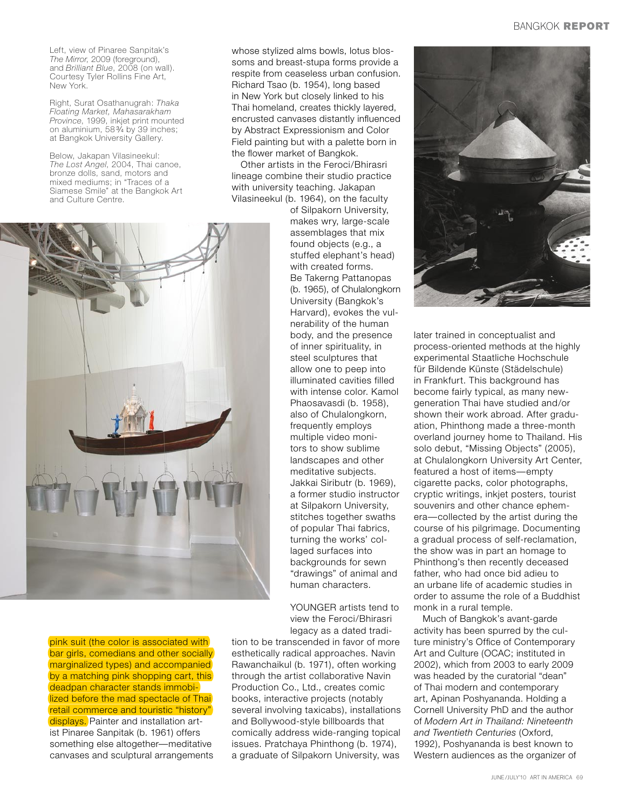Left, view of Pinaree Sanpitak's *The Mirror*, 2009 (foreground), and *Brilliant Blue*, 2008 (on wall). Courtesy Tyler Rollins Fine Art, New York.

Right, Surat Osathanugrah: *Thaka Floating Market, Mahasarakham Province*, 1999, inkjet print mounted on aluminium, 58 3⁄4 by 39 inches; at Bangkok University Gallery.

Below, Jakapan Vilasineekul: *The Lost Angel*, 2004, Thai canoe, bronze dolls, sand, motors and mixed mediums; in "Traces of a Siamese Smile" at the Bangkok Art and Culture Centre.

whose stylized alms bowls, lotus blossoms and breast-stupa forms provide a respite from ceaseless urban confusion. Richard Tsao (b. 1954), long based in New York but closely linked to his Thai homeland, creates thickly layered, encrusted canvases distantly influenced by Abstract Expressionism and Color Field painting but with a palette born in the flower market of Bangkok.

Other artists in the Feroci/Bhirasri lineage combine their studio practice with university teaching. Jakapan Vilasineekul (b. 1964), on the faculty

of Silpakorn University, makes wry, large-scale assemblages that mix found objects (e.g., a stuffed elephant's head) with created forms. Be Takerng Pattanopas (b. 1965), of Chulalongkorn University (Bangkok's Harvard), evokes the vulnerability of the human body, and the presence of inner spirituality, in steel sculptures that allow one to peep into illuminated cavities filled with intense color. Kamol Phaosavasdi (b. 1958), also of Chulalongkorn, frequently employs multiple video monitors to show sublime landscapes and other meditative subjects. Jakkai Siributr (b. 1969), a former studio instructor at Silpakorn University, stitches together swaths of popular Thai fabrics, turning the works' collaged surfaces into backgrounds for sewn "drawings" of animal and human characters.

YOUNGER artists tend to view the Feroci/Bhirasri legacy as a dated tradi-

pink suit (the color is associated with bar girls, comedians and other socially marginalized types) and accompanied by a matching pink shopping cart, this deadpan character stands immobilized before the mad spectacle of Thai retail commerce and touristic "history" displays. Painter and installation artist Pinaree Sanpitak (b. 1961) offers something else altogether—meditative canvases and sculptural arrangements

tion to be transcended in favor of more esthetically radical approaches. Navin Rawanchaikul (b. 1971), often working through the artist collaborative Navin Production Co., Ltd., creates comic books, interactive projects (notably several involving taxicabs), installations and Bollywood-style billboards that comically address wide-ranging topical issues. Pratchaya Phinthong (b. 1974), a graduate of Silpakorn University, was



later trained in conceptualist and process-oriented methods at the highly experimental Staatliche Hochschule für Bildende Künste (Städelschule) in Frankfurt. This background has become fairly typical, as many newgeneration Thai have studied and/or shown their work abroad. After graduation, Phinthong made a three-month overland journey home to Thailand. His solo debut, "Missing Objects" (2005), at Chulalongkorn University Art Center, featured a host of items—empty cigarette packs, color photographs, cryptic writings, inkjet posters, tourist souvenirs and other chance ephemera—collected by the artist during the course of his pilgrimage. Documenting a gradual process of self-reclamation, the show was in part an homage to Phinthong's then recently deceased father, who had once bid adieu to an urbane life of academic studies in order to assume the role of a Buddhist monk in a rural temple.

Much of Bangkok's avant-garde activity has been spurred by the culture ministry's Office of Contemporary Art and Culture (OCAC; instituted in 2002), which from 2003 to early 2009 was headed by the curatorial "dean" of Thai modern and contemporary art, Apinan Poshyananda. Holding a Cornell University PhD and the author of *Modern Art in Thailand: Nineteenth and Twentieth Centuries* (Oxford, 1992), Poshyananda is best known to Western audiences as the organizer of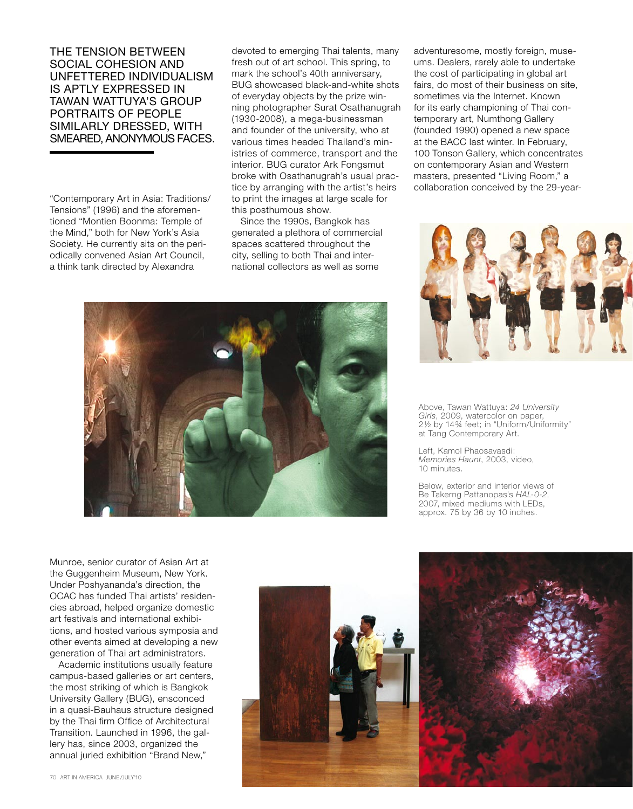The tension between social cohesion and unfettered individualism is aptly expressed in Tawan Wattuya's group portraits of people similarly dressed, with smeared, anonymous faces.

"Contemporary Art in Asia: Traditions/ Tensions" (1996) and the aforementioned "Montien Boonma: Temple of the Mind," both for New York's Asia Society. He currently sits on the periodically convened Asian Art Council, a think tank directed by Alexandra

devoted to emerging Thai talents, many fresh out of art school. This spring, to mark the school's 40th anniversary, BUG showcased black-and-white shots of everyday objects by the prize winning photographer Surat Osathanugrah (1930-2008), a mega-businessman and founder of the university, who at various times headed Thailand's ministries of commerce, transport and the interior. BUG curator Ark Fongsmut broke with Osathanugrah's usual practice by arranging with the artist's heirs to print the images at large scale for this posthumous show.

Since the 1990s, Bangkok has generated a plethora of commercial spaces scattered throughout the city, selling to both Thai and international collectors as well as some

adventuresome, mostly foreign, museums. Dealers, rarely able to undertake the cost of participating in global art fairs, do most of their business on site, sometimes via the Internet. Known for its early championing of Thai contemporary art, Numthong Gallery (founded 1990) opened a new space at the BACC last winter. In February, 100 Tonson Gallery, which concentrates on contemporary Asian and Western masters, presented "Living Room," a collaboration conceived by the 29-year-





Above, Tawan Wattuya: *24 University Girls*, 2009, watercolor on paper, 2½ by 14¾ feet; in "Uniform/Uniformity" at Tang Contemporary Art.

Left, Kamol Phaosavasdi: *Memories Haunt*, 2003, video, 10 minutes.

Below, exterior and interior views of Be Takerng Pattanopas's *HAL-0-2*, 2007, mixed mediums with LEDs, approx. 75 by 36 by 10 inches.

Munroe, senior curator of Asian Art at the Guggenheim Museum, New York. Under Poshyananda's direction, the OCAC has funded Thai artists' residencies abroad, helped organize domestic art festivals and international exhibitions, and hosted various symposia and other events aimed at developing a new generation of Thai art administrators.

Academic institutions usually feature campus-based galleries or art centers, the most striking of which is Bangkok University Gallery (BUG), ensconced in a quasi-Bauhaus structure designed by the Thai firm Office of Architectural Transition. Launched in 1996, the gallery has, since 2003, organized the annual juried exhibition "Brand New,"



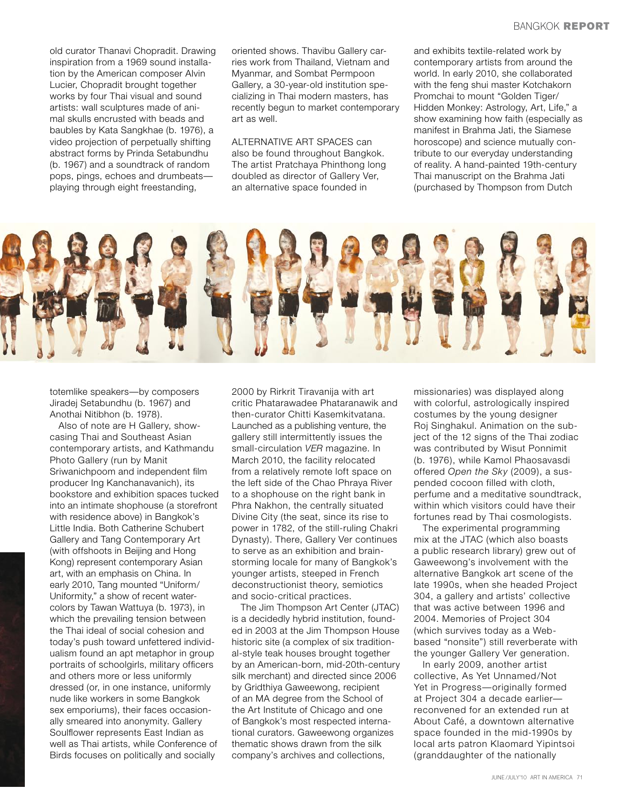old curator Thanavi Chopradit. Drawing inspiration from a 1969 sound installation by the American composer Alvin Lucier, Chopradit brought together works by four Thai visual and sound artists: wall sculptures made of animal skulls encrusted with beads and baubles by Kata Sangkhae (b. 1976), a video projection of perpetually shifting abstract forms by Prinda Setabundhu (b. 1967) and a soundtrack of random pops, pings, echoes and drumbeats playing through eight freestanding,

oriented shows. Thavibu Gallery carries work from Thailand, Vietnam and Myanmar, and Sombat Permpoon Gallery, a 30-year-old institution specializing in Thai modern masters, has recently begun to market contemporary art as well.

Alternative art spaces can also be found throughout Bangkok. The artist Pratchaya Phinthong long doubled as director of Gallery Ver, an alternative space founded in

and exhibits textile-related work by contemporary artists from around the world. In early 2010, she collaborated with the feng shui master Kotchakorn Promchai to mount "Golden Tiger/ Hidden Monkey: Astrology, Art, Life," a show examining how faith (especially as manifest in Brahma Jati, the Siamese horoscope) and science mutually contribute to our everyday understanding of reality. A hand-painted 19th-century Thai manuscript on the Brahma Jati (purchased by Thompson from Dutch



totemlike speakers—by composers Jiradej Setabundhu (b. 1967) and Anothai Nitibhon (b. 1978).

Also of note are H Gallery, showcasing Thai and Southeast Asian contemporary artists, and Kathmandu Photo Gallery (run by Manit Sriwanichpoom and independent film producer Ing Kanchanavanich), its bookstore and exhibition spaces tucked into an intimate shophouse (a storefront with residence above) in Bangkok's Little India. Both Catherine Schubert Gallery and Tang Contemporary Art (with offshoots in Beijing and Hong Kong) represent contemporary Asian art, with an emphasis on China. In early 2010, Tang mounted "Uniform/ Uniformity," a show of recent watercolors by Tawan Wattuya (b. 1973), in which the prevailing tension between the Thai ideal of social cohesion and today's push toward unfettered individualism found an apt metaphor in group portraits of schoolgirls, military officers and others more or less uniformly dressed (or, in one instance, uniformly nude like workers in some Bangkok sex emporiums), their faces occasionally smeared into anonymity. Gallery Soulflower represents East Indian as well as Thai artists, while Conference of Birds focuses on politically and socially

2000 by Rirkrit Tiravanija with art critic Phatarawadee Phataranawik and then-curator Chitti Kasemkitvatana. Launched as a publishing venture, the gallery still intermittently issues the small-circulation *VER* magazine. In March 2010, the facility relocated from a relatively remote loft space on the left side of the Chao Phraya River to a shophouse on the right bank in Phra Nakhon, the centrally situated Divine City (the seat, since its rise to power in 1782, of the still-ruling Chakri Dynasty). There, Gallery Ver continues to serve as an exhibition and brainstorming locale for many of Bangkok's younger artists, steeped in French deconstructionist theory, semiotics and socio-critical practices.

The Jim Thompson Art Center (JTAC) is a decidedly hybrid institution, founded in 2003 at the Jim Thompson House historic site (a complex of six traditional-style teak houses brought together by an American-born, mid-20th-century silk merchant) and directed since 2006 by Gridthiya Gaweewong, recipient of an MA degree from the School of the Art Institute of Chicago and one of Bangkok's most respected international curators. Gaweewong organizes thematic shows drawn from the silk company's archives and collections,

missionaries) was displayed along with colorful, astrologically inspired costumes by the young designer Roj Singhakul. Animation on the subject of the 12 signs of the Thai zodiac was contributed by Wisut Ponnimit (b. 1976), while Kamol Phaosavasdi offered *Open the Sky* (2009), a suspended cocoon filled with cloth, perfume and a meditative soundtrack, within which visitors could have their fortunes read by Thai cosmologists.

The experimental programming mix at the JTAC (which also boasts a public research library) grew out of Gaweewong's involvement with the alternative Bangkok art scene of the late 1990s, when she headed Project 304, a gallery and artists' collective that was active between 1996 and 2004. Memories of Project 304 (which survives today as a Webbased "nonsite") still reverberate with the younger Gallery Ver generation.

In early 2009, another artist collective, As Yet Unnamed/Not Yet in Progress—originally formed at Project 304 a decade earlier reconvened for an extended run at About Café, a downtown alternative space founded in the mid-1990s by local arts patron Klaomard Yipintsoi (granddaughter of the nationally